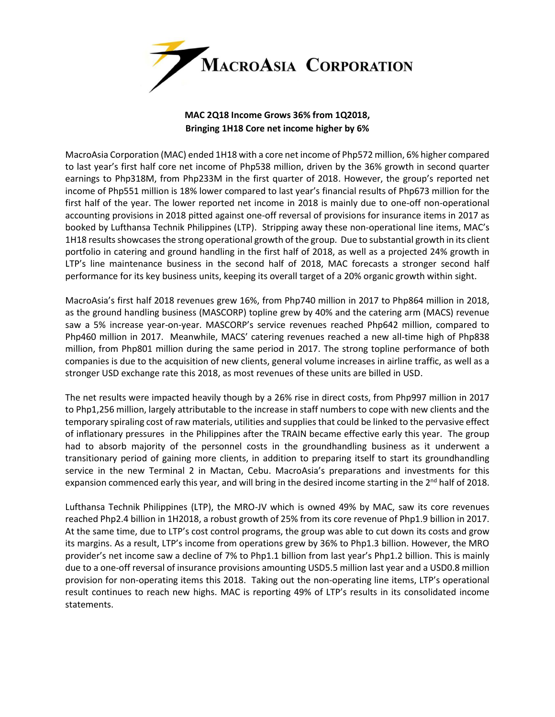

## **MAC 2Q18 Income Grows 36% from 1Q2018, Bringing 1H18 Core net income higher by 6%**

MacroAsia Corporation (MAC) ended 1H18 with a core net income of Php572 million, 6% higher compared to last year's first half core net income of Php538 million, driven by the 36% growth in second quarter earnings to Php318M, from Php233M in the first quarter of 2018. However, the group's reported net income of Php551 million is 18% lower compared to last year's financial results of Php673 million for the first half of the year. The lower reported net income in 2018 is mainly due to one-off non-operational accounting provisions in 2018 pitted against one-off reversal of provisions for insurance items in 2017 as booked by Lufthansa Technik Philippines (LTP). Stripping away these non-operational line items, MAC's 1H18 results showcasesthe strong operational growth of the group. Due to substantial growth in its client portfolio in catering and ground handling in the first half of 2018, as well as a projected 24% growth in LTP's line maintenance business in the second half of 2018, MAC forecasts a stronger second half performance for its key business units, keeping its overall target of a 20% organic growth within sight.

MacroAsia's first half 2018 revenues grew 16%, from Php740 million in 2017 to Php864 million in 2018, as the ground handling business (MASCORP) topline grew by 40% and the catering arm (MACS) revenue saw a 5% increase year-on-year. MASCORP's service revenues reached Php642 million, compared to Php460 million in 2017. Meanwhile, MACS' catering revenues reached a new all-time high of Php838 million, from Php801 million during the same period in 2017. The strong topline performance of both companies is due to the acquisition of new clients, general volume increases in airline traffic, as well as a stronger USD exchange rate this 2018, as most revenues of these units are billed in USD.

The net results were impacted heavily though by a 26% rise in direct costs, from Php997 million in 2017 to Php1,256 million, largely attributable to the increase in staff numbers to cope with new clients and the temporary spiraling cost of raw materials, utilities and supplies that could be linked to the pervasive effect of inflationary pressures in the Philippines after the TRAIN became effective early this year. The group had to absorb majority of the personnel costs in the groundhandling business as it underwent a transitionary period of gaining more clients, in addition to preparing itself to start its groundhandling service in the new Terminal 2 in Mactan, Cebu. MacroAsia's preparations and investments for this expansion commenced early this year, and will bring in the desired income starting in the 2<sup>nd</sup> half of 2018.

Lufthansa Technik Philippines (LTP), the MRO-JV which is owned 49% by MAC, saw its core revenues reached Php2.4 billion in 1H2018, a robust growth of 25% from its core revenue of Php1.9 billion in 2017. At the same time, due to LTP's cost control programs, the group was able to cut down its costs and grow its margins. As a result, LTP's income from operations grew by 36% to Php1.3 billion. However, the MRO provider's net income saw a decline of 7% to Php1.1 billion from last year's Php1.2 billion. This is mainly due to a one-off reversal of insurance provisions amounting USD5.5 million last year and a USD0.8 million provision for non-operating items this 2018. Taking out the non-operating line items, LTP's operational result continues to reach new highs. MAC is reporting 49% of LTP's results in its consolidated income statements.